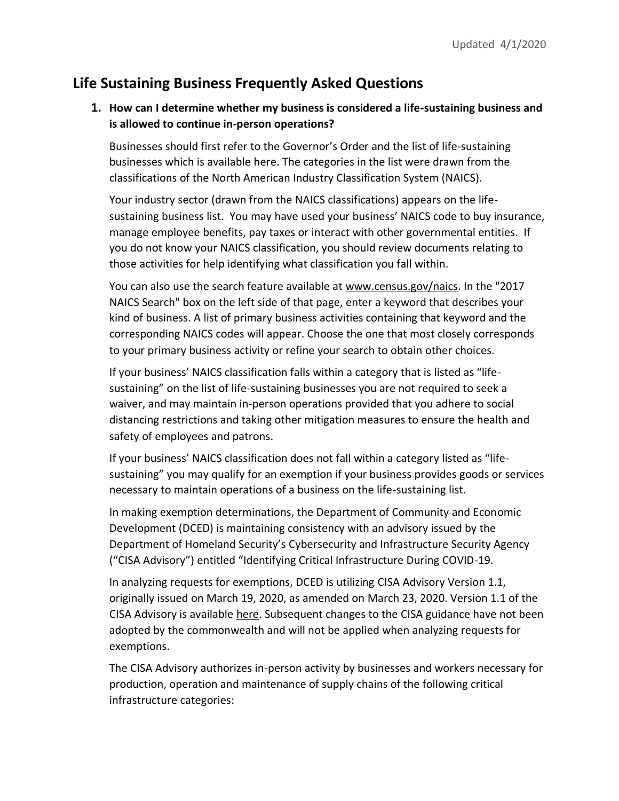# **Life Sustaining Business Frequently Asked Questions**

## **1. How can I determine whether my business is considered a life-sustaining business and is allowed to continue in-person operations?**

Businesses should first refer to the G[overnor's Order](https://www.governor.pa.gov/wp-content/uploads/2020/03/20200319-TWW-COVID-19-business-closure-order.pdf) and the list of life-sustaining businesses which is available [here.](https://www.governor.pa.gov/wp-content/uploads/2020/03/20200319-Life-Sustaining-Business.pdf) The categories in the list were drawn from the classifications of the North American Industry Classification System (NAICS).

Your industry sector (drawn from the NAICS classifications) appears on the lifesustaining business list. You may have used your business' NAICS code to buy insurance, manage employee benefits, pay taxes or interact with other governmental entities. If you do not know your NAICS classification, you should review documents relating to those activities for help identifying what classification you fall within.

You can also use the search feature available at www.census.gov/naics. In the "2017 NAICS Search" box on the left side of that page, enter a keyword that describes your kind of business. A list of primary business activities containing that keyword and the corresponding NAICS codes will appear. Choose the one that most closely corresponds to your primary business activity or refine your search to obtain other choices.

If your business' NAICS classification falls within a category that is listed as "lifesustaining" on the list of life-sustaining businesses you are not required to seek a waiver, and may maintain in-person operations provided that you adhere to social distancing restrictions and taking other mitigation measures to ensure the health and safety of employees and patrons.

If your business' NAICS classification does not fall within a category listed as "lifesustaining" you may qualify for an exemption if your business provides goods or services necessary to maintain operations of a business on the life-sustaining list.

In making exemption determinations, the Department of Community and Economic Development (DCED) is maintaining consistency with an advisory issued by the Department of Homeland Security's Cybersecurity and Infrastructure Security Agency ("CISA Advisory") entitled "[Identifying Critical Infrastructure During COVID-19.](https://www.cisa.gov/sites/default/files/publications/CISA_Guidance_on_the_Essential_Critical_Infrastructure_Workforce_508C_0.pdf)

In analyzing requests for exemptions, DCED is utilizing CISA Advisory Version 1.1, originally issued on March 19, 2020, as amended on March 23, 2020. Version 1.1 of the CISA Advisory is availabl[e here.](https://www.cisa.gov/sites/default/files/publications/CISA_Guidance_on_the_Essential_Critical_Infrastructure_Workforce_508C_0.pdf) Subsequent changes to the CISA guidance have not been adopted by the commonwealth and will not be applied when analyzing requests for exemptions.

The CISA Advisory authorizes in-person activity by businesses and workers necessary for production, operation and maintenance of supply chains of the following critical infrastructure categories: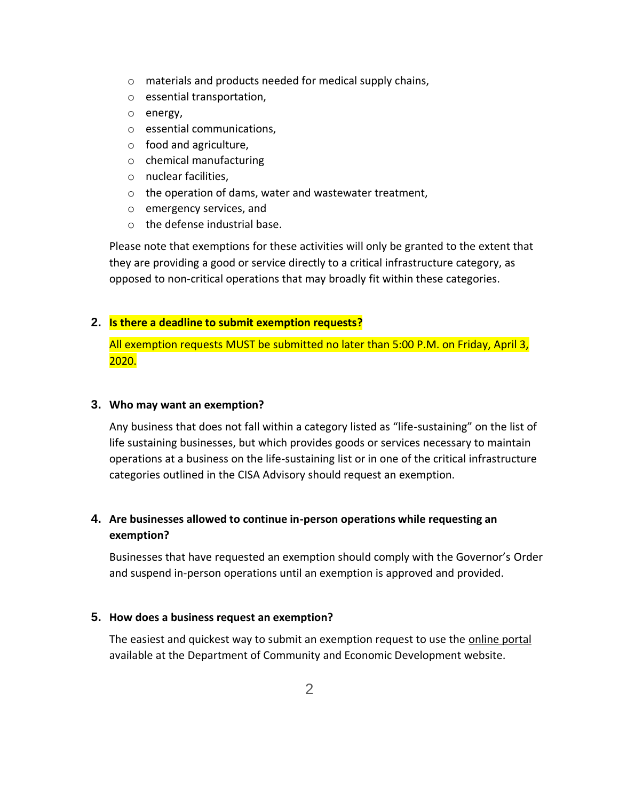- o materials and products needed for medical supply chains,
- o essential transportation,
- o energy,
- o essential communications,
- o food and agriculture,
- o chemical manufacturing
- o nuclear facilities,
- o the operation of dams, water and wastewater treatment,
- o emergency services, and
- o the defense industrial base.

Please note that exemptions for these activities will only be granted to the extent that they are providing a good or service directly to a critical infrastructure category, as opposed to non-critical operations that may broadly fit within these categories.

### **2. Is there a deadline to submit exemption requests?**

All exemption requests MUST be submitted no later than 5:00 P.M. on Friday, April 3, 2020.

### **3. Who may want an exemption?**

Any business that does not fall within a category listed as "life-sustaining" on the list of life sustaining businesses, but which provides goods or services necessary to maintain operations at a business on the life-sustaining list or in one of the critical infrastructure categories outlined in the CISA Advisory should request an exemption.

## **4. Are businesses allowed to continue in-person operations while requesting an exemption?**

Businesses that have requested an exemption should comply with the Governor's Order and suspend in-person operations until an exemption is approved and provided.

### **5. How does a business request an exemption?**

The easiest and quickest way to submit an exemption request to use the [online portal](https://expressforms.pa.gov/apps/pa/DCED/Waiver-process-keeping-physical-locations-open) available at the Department of Community and Economic Development website.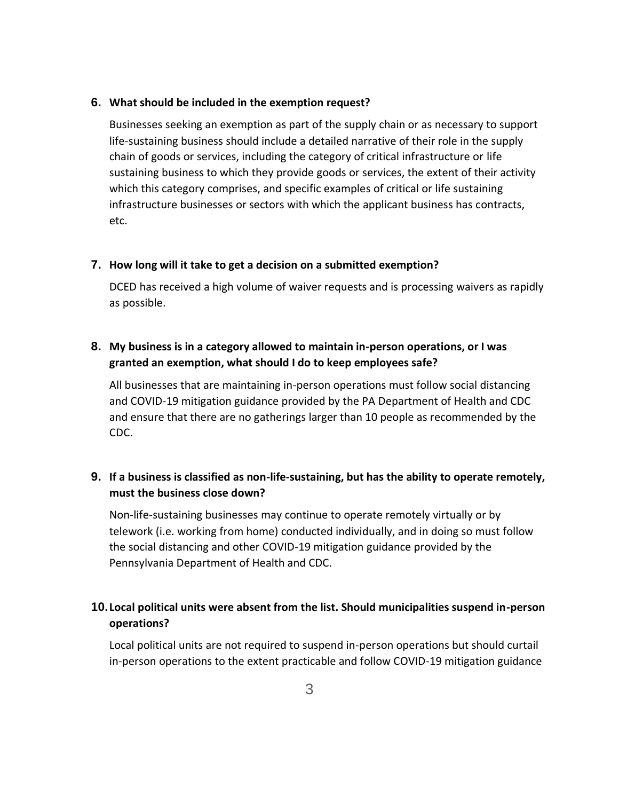### **6. What should be included in the exemption request?**

Businesses seeking an exemption as part of the supply chain or as necessary to support life-sustaining business should include a detailed narrative of their role in the supply chain of goods or services, including the category of critical infrastructure or life sustaining business to which they provide goods or services, the extent of their activity which this category comprises, and specific examples of critical or life sustaining infrastructure businesses or sectors with which the applicant business has contracts, etc.

## **7. How long will it take to get a decision on a submitted exemption?**

DCED has received a high volume of waiver requests and is processing waivers as rapidly as possible.

## **8. My business is in a category allowed to maintain in-person operations, or I was granted an exemption, what should I do to keep employees safe?**

All businesses that are maintaining in-person operations must follow social distancing and COVID-19 mitigation guidance provided by the PA Department of Health and CDC and ensure that there are no gatherings larger than 10 people as recommended by the CDC.

## **9. If a business is classified as non-life-sustaining, but has the ability to operate remotely, must the business close down?**

Non-life-sustaining businesses may continue to operate remotely virtually or by telework (i.e. working from home) conducted individually, and in doing so must follow the social distancing and other COVID-19 mitigation guidance provided by the Pennsylvania Department of Health and CDC.

## **10.Local political units were absent from the list. Should municipalities suspend in-person operations?**

Local political units are not required to suspend in-person operations but should curtail in-person operations to the extent practicable and follow COVID-19 mitigation guidance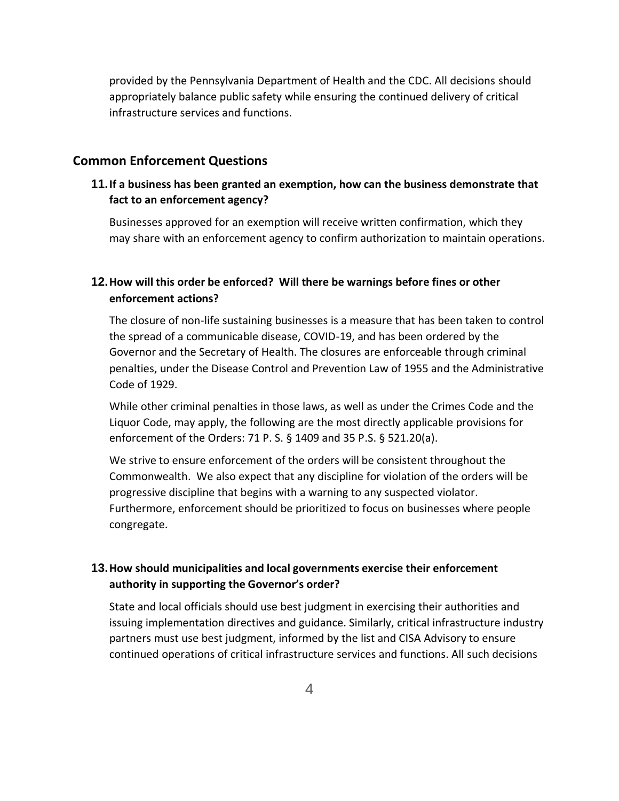provided by the Pennsylvania Department of Health and the CDC. All decisions should appropriately balance public safety while ensuring the continued delivery of critical infrastructure services and functions.

### **Common Enforcement Questions**

## **11.If a business has been granted an exemption, how can the business demonstrate that fact to an enforcement agency?**

Businesses approved for an exemption will receive written confirmation, which they may share with an enforcement agency to confirm authorization to maintain operations.

## **12.How will this order be enforced? Will there be warnings before fines or other enforcement actions?**

The closure of non-life sustaining businesses is a measure that has been taken to control the spread of a communicable disease, COVID-19, and has been ordered by the Governor and the Secretary of Health. The closures are enforceable through criminal penalties, under the Disease Control and Prevention Law of 1955 and the Administrative Code of 1929.

While other criminal penalties in those laws, as well as under the Crimes Code and the Liquor Code, may apply, the following are the most directly applicable provisions for enforcement of the Orders: 71 P. S. § 1409 and 35 P.S. § 521.20(a).

We strive to ensure enforcement of the orders will be consistent throughout the Commonwealth. We also expect that any discipline for violation of the orders will be progressive discipline that begins with a warning to any suspected violator. Furthermore, enforcement should be prioritized to focus on businesses where people congregate.

## **13.How should municipalities and local governments exercise their enforcement authority in supporting the Governor's order?**

State and local officials should use best judgment in exercising their authorities and issuing implementation directives and guidance. Similarly, critical infrastructure industry partners must use best judgment, informed by the list and CISA Advisory to ensure continued operations of critical infrastructure services and functions. All such decisions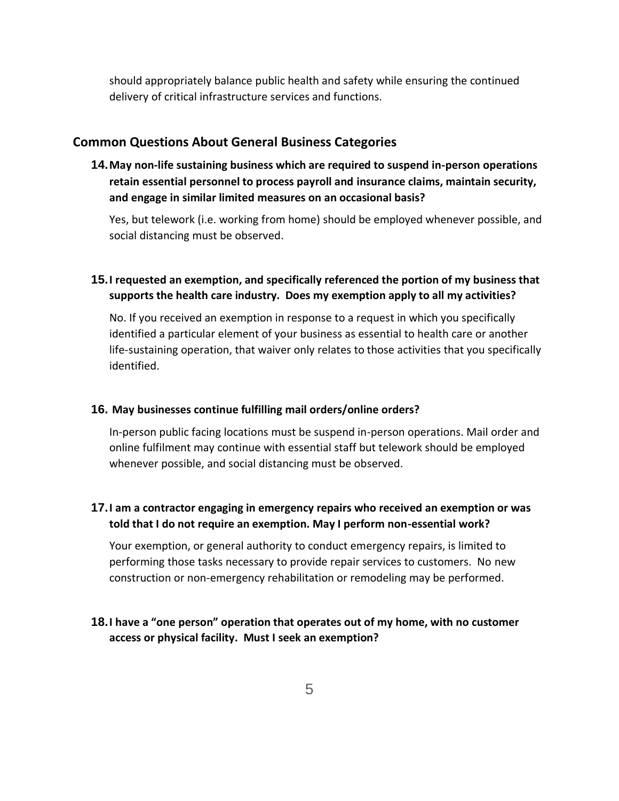should appropriately balance public health and safety while ensuring the continued delivery of critical infrastructure services and functions.

### **Common Questions About General Business Categories**

**14.May non-life sustaining business which are required to suspend in-person operations retain essential personnel to process payroll and insurance claims, maintain security, and engage in similar limited measures on an occasional basis?**

Yes, but telework (i.e. working from home) should be employed whenever possible, and social distancing must be observed.

## **15.I requested an exemption, and specifically referenced the portion of my business that supports the health care industry. Does my exemption apply to all my activities?**

No. If you received an exemption in response to a request in which you specifically identified a particular element of your business as essential to health care or another life-sustaining operation, that waiver only relates to those activities that you specifically identified.

#### **16. May businesses continue fulfilling mail orders/online orders?**

In-person public facing locations must be suspend in-person operations. Mail order and online fulfilment may continue with essential staff but telework should be employed whenever possible, and social distancing must be observed.

## **17.I am a contractor engaging in emergency repairs who received an exemption or was told that I do not require an exemption. May I perform non-essential work?**

Your exemption, or general authority to conduct emergency repairs, is limited to performing those tasks necessary to provide repair services to customers. No new construction or non-emergency rehabilitation or remodeling may be performed.

## **18.I have a "one person" operation that operates out of my home, with no customer access or physical facility. Must I seek an exemption?**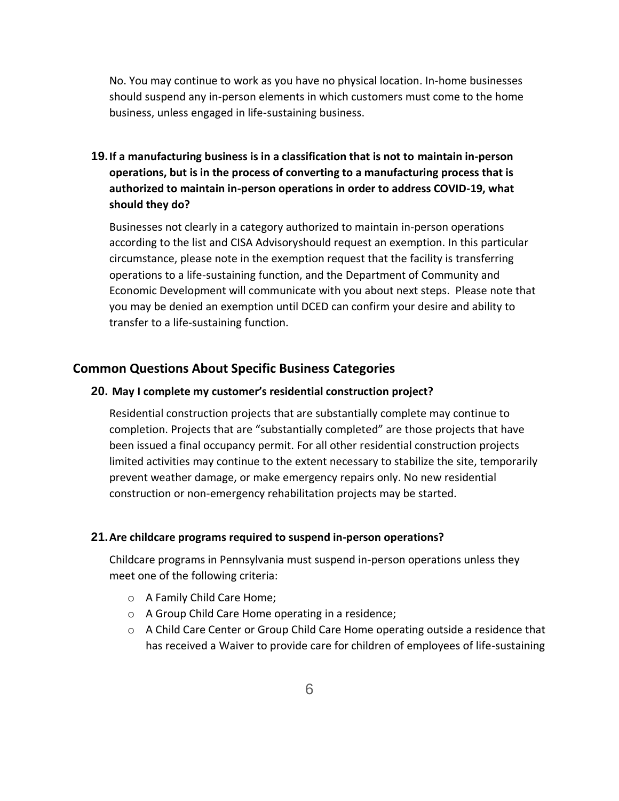No. You may continue to work as you have no physical location. In-home businesses should suspend any in-person elements in which customers must come to the home business, unless engaged in life-sustaining business.

## **19.If a manufacturing business is in a classification that is not to maintain in-person operations, but is in the process of converting to a manufacturing process that is authorized to maintain in-person operations in order to address COVID-19, what should they do?**

Businesses not clearly in a category authorized to maintain in-person operations according to the list and [CISA Advisorys](https://www.cisa.gov/sites/default/files/publications/CISA_Guidance_on_the_Essential_Critical_Infrastructure_Workforce_508C_0.pdf)hould request an exemption. In this particular circumstance, please note in the exemption request that the facility is transferring operations to a life-sustaining function, and the Department of Community and Economic Development will communicate with you about next steps. Please note that you may be denied an exemption until DCED can confirm your desire and ability to transfer to a life-sustaining function.

### **Common Questions About Specific Business Categories**

### **20. May I complete my customer's residential construction project?**

Residential construction projects that are substantially complete may continue to completion. Projects that are "substantially completed" are those projects that have been issued a final occupancy permit. For all other residential construction projects limited activities may continue to the extent necessary to stabilize the site, temporarily prevent weather damage, or make emergency repairs only. No new residential construction or non-emergency rehabilitation projects may be started.

#### **21.Are childcare programs required to suspend in-person operations?**

Childcare programs in Pennsylvania must suspend in-person operations unless they meet one of the following criteria:

- o A Family Child Care Home;
- o A Group Child Care Home operating in a residence;
- $\circ$  A Child Care Center or Group Child Care Home operating outside a residence that has received a [Waiver](https://gcc01.safelinks.protection.outlook.com/?url=https%3A%2F%2Fwww.pakeys.org%2Fwp-content%2Fuploads%2F2020%2F03%2FExemption-of-Directive-to-Temporarily-Close.03182020-fillable.pdf&data=02%7C01%7Ctrcampanin%40pa.gov%7C876d95c21e1948be516008d7d0ddc824%7C418e284101284dd59b6c47fc5a9a1bde%7C0%7C0%7C637207524231835359&sdata=%2B2%2BwY5VemF8tjWtiaNpDp0w79mNCBpZYEOtqcpLh8%2Bc%3D&reserved=0) to provide care for children of employees of life-sustaining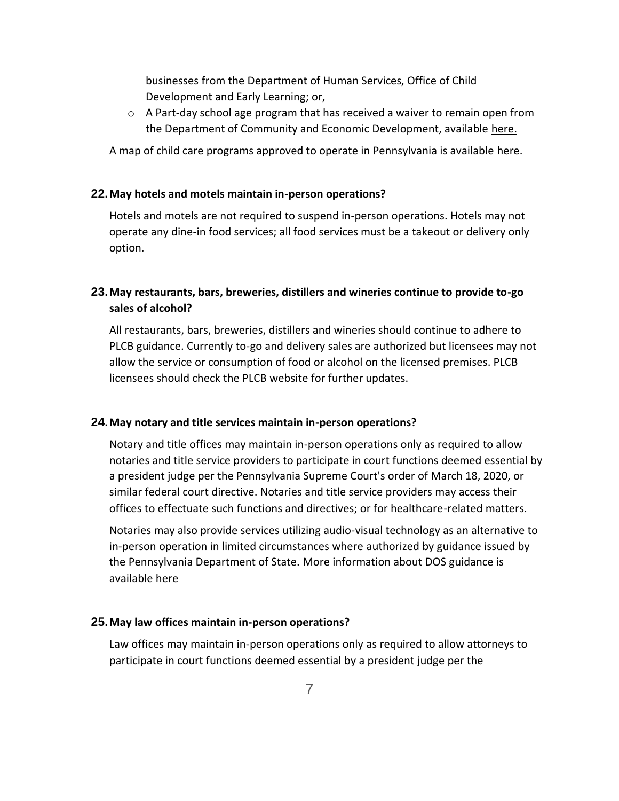businesses from the Department of Human Services, Office of Child Development and Early Learning; or,

 $\circ$  A Part-day school age program that has received a waiver to remain open from the Department of Community and Economic Development, available [here.](https://gcc01.safelinks.protection.outlook.com/?url=https%3A%2F%2Fexpressforms.pa.gov%2Fapps%2Fpa%2FDCED%2FWaiver-process-keeping-physical-locations-open&data=02%7C01%7Ctrcampanin%40pa.gov%7C876d95c21e1948be516008d7d0ddc824%7C418e284101284dd59b6c47fc5a9a1bde%7C0%7C0%7C637207524231835359&sdata=sMMFUeNjTnOTXfHxkmrY51yz57E7UAvbzdWxrpWgxB0%3D&reserved=0)

A map of child care programs approved to operate in Pennsylvania is available [here.](https://www.dhs.pa.gov/providers/Providers/Pages/Coronavirus-Child-Care.aspx)

### **22.May hotels and motels maintain in-person operations?**

Hotels and motels are not required to suspend in-person operations. Hotels may not operate any dine-in food services; all food services must be a takeout or delivery only option.

## **23.May restaurants, bars, breweries, distillers and wineries continue to provide to-go sales of alcohol?**

All restaurants, bars, breweries, distillers and wineries should continue to adhere to PLCB guidance. Currently to-go and delivery sales are authorized but licensees may not allow the service or consumption of food or alcohol on the licensed premises. PLCB licensees should check the PLCB website for further updates.

### **24.May notary and title services maintain in-person operations?**

Notary and title offices may maintain in-person operations only as required to allow notaries and title service providers to participate in court functions deemed essential by a president judge per the Pennsylvania Supreme Court's order of March 18, 2020, or similar federal court directive. Notaries and title service providers may access their offices to effectuate such functions and directives; or for healthcare-related matters.

Notaries may also provide services utilizing audio-visual technology as an alternative to in-person operation in limited circumstances where authorized by guidance issued by the Pennsylvania Department of State. More information about DOS guidance is available [here](https://www.dos.pa.gov/Pages/COVID-19-Waivers.aspx)

### **25.May law offices maintain in-person operations?**

Law offices may maintain in-person operations only as required to allow attorneys to participate in court functions deemed essential by a president judge per the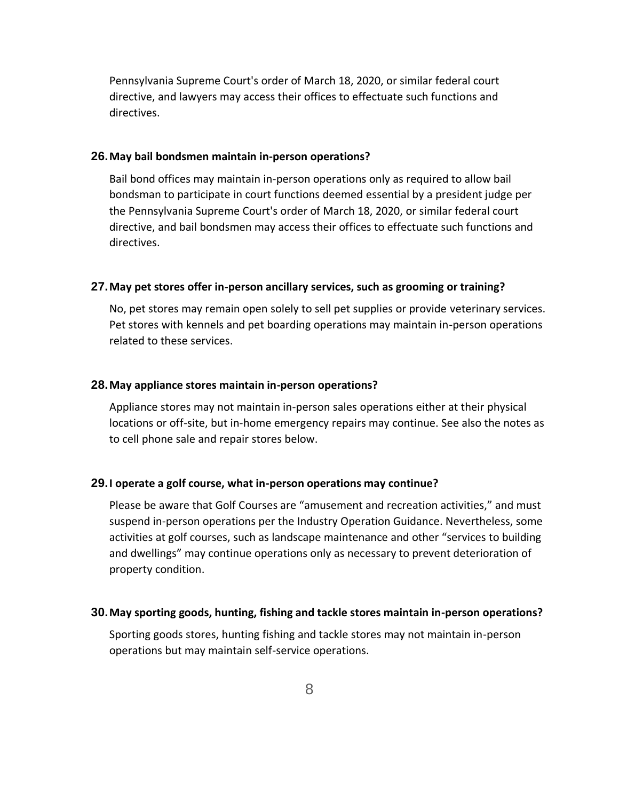Pennsylvania Supreme Court's order of March 18, 2020, or similar federal court directive, and lawyers may access their offices to effectuate such functions and directives.

#### **26.May bail bondsmen maintain in-person operations?**

Bail bond offices may maintain in-person operations only as required to allow bail bondsman to participate in court functions deemed essential by a president judge per the Pennsylvania Supreme Court's order of March 18, 2020, or similar federal court directive, and bail bondsmen may access their offices to effectuate such functions and directives.

### **27.May pet stores offer in-person ancillary services, such as grooming or training?**

No, pet stores may remain open solely to sell pet supplies or provide veterinary services. Pet stores with kennels and pet boarding operations may maintain in-person operations related to these services.

#### **28.May appliance stores maintain in-person operations?**

Appliance stores may not maintain in-person sales operations either at their physical locations or off-site, but in-home emergency repairs may continue. See also the notes as to cell phone sale and repair stores below.

#### **29.I operate a golf course, what in-person operations may continue?**

Please be aware that Golf Courses are "amusement and recreation activities," and must suspend in-person operations per the Industry Operation Guidance. Nevertheless, some activities at golf courses, such as landscape maintenance and other "services to building and dwellings" may continue operations only as necessary to prevent deterioration of property condition.

#### **30.May sporting goods, hunting, fishing and tackle stores maintain in-person operations?**

Sporting goods stores, hunting fishing and tackle stores may not maintain in-person operations but may maintain self-service operations.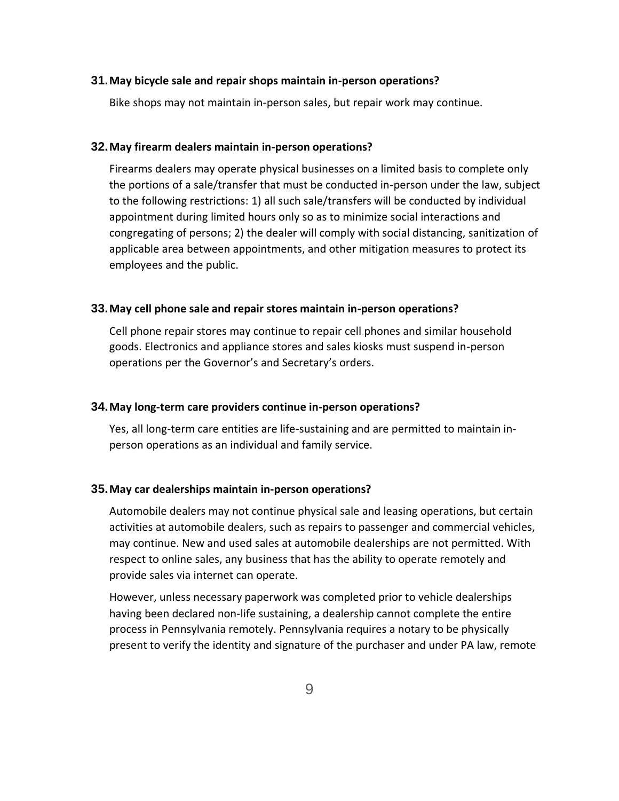#### **31.May bicycle sale and repair shops maintain in-person operations?**

Bike shops may not maintain in-person sales, but repair work may continue.

#### **32.May firearm dealers maintain in-person operations?**

Firearms dealers may operate physical businesses on a limited basis to complete only the portions of a sale/transfer that must be conducted in-person under the law, subject to the following restrictions: 1) all such sale/transfers will be conducted by individual appointment during limited hours only so as to minimize social interactions and congregating of persons; 2) the dealer will comply with social distancing, sanitization of applicable area between appointments, and other mitigation measures to protect its employees and the public.

#### **33.May cell phone sale and repair stores maintain in-person operations?**

Cell phone repair stores may continue to repair cell phones and similar household goods. Electronics and appliance stores and sales kiosks must suspend in-person operations per the Governor's and Secretary's orders.

#### **34.May long-term care providers continue in-person operations?**

Yes, all long-term care entities are life-sustaining and are permitted to maintain inperson operations as an individual and family service.

#### **35.May car dealerships maintain in-person operations?**

Automobile dealers may not continue physical sale and leasing operations, but certain activities at automobile dealers, such as repairs to passenger and commercial vehicles, may continue. New and used sales at automobile dealerships are not permitted. With respect to online sales, any business that has the ability to operate remotely and provide sales via internet can operate.

However, unless necessary paperwork was completed prior to vehicle dealerships having been declared non-life sustaining, a dealership cannot complete the entire process in Pennsylvania remotely. Pennsylvania requires a notary to be physically present to verify the identity and signature of the purchaser and under PA law, remote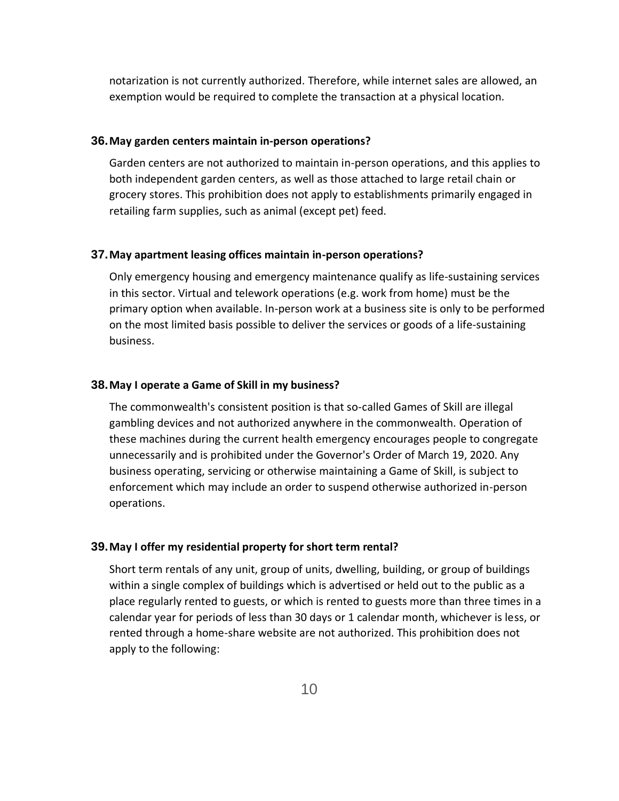notarization is not currently authorized. Therefore, while internet sales are allowed, an exemption would be required to complete the transaction at a physical location.

#### **36.May garden centers maintain in-person operations?**

Garden centers are not authorized to maintain in-person operations, and this applies to both independent garden centers, as well as those attached to large retail chain or grocery stores. This prohibition does not apply to establishments primarily engaged in retailing farm supplies, such as animal (except pet) feed.

#### **37.May apartment leasing offices maintain in-person operations?**

Only emergency housing and emergency maintenance qualify as life-sustaining services in this sector. Virtual and telework operations (e.g. work from home) must be the primary option when available. In-person work at a business site is only to be performed on the most limited basis possible to deliver the services or goods of a life-sustaining business.

#### **38.May I operate a Game of Skill in my business?**

The commonwealth's consistent position is that so-called Games of Skill are illegal gambling devices and not authorized anywhere in the commonwealth. Operation of these machines during the current health emergency encourages people to congregate unnecessarily and is prohibited under the Governor's Order of March 19, 2020. Any business operating, servicing or otherwise maintaining a Game of Skill, is subject to enforcement which may include an order to suspend otherwise authorized in-person operations.

#### **39.May I offer my residential property for short term rental?**

Short term rentals of any unit, group of units, dwelling, building, or group of buildings within a single complex of buildings which is advertised or held out to the public as a place regularly rented to guests, or which is rented to guests more than three times in a calendar year for periods of less than 30 days or 1 calendar month, whichever is less, or rented through a home-share website are not authorized. This prohibition does not apply to the following: